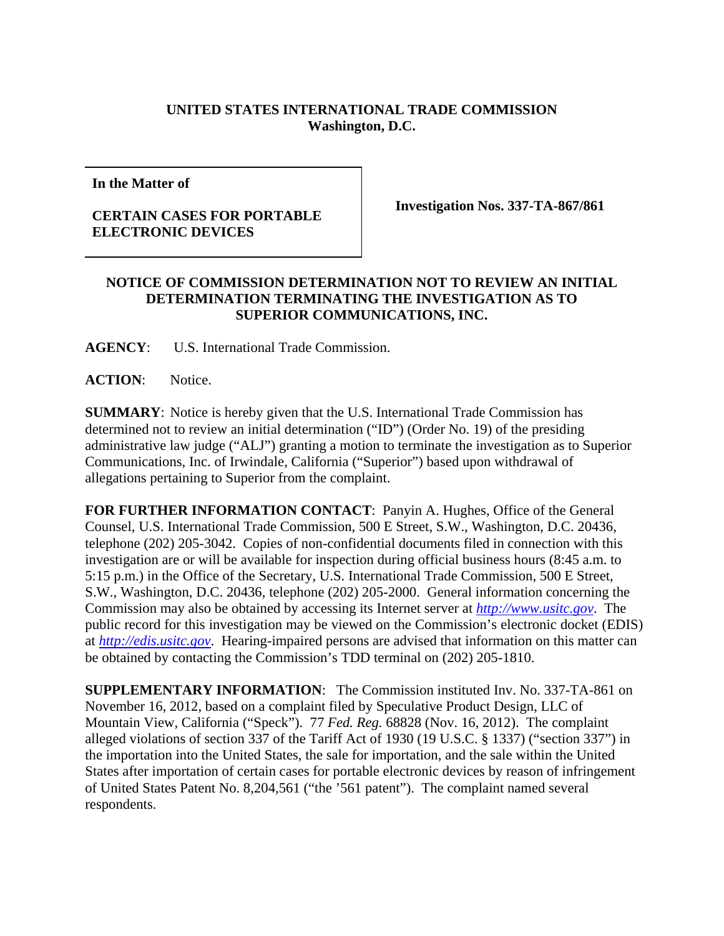## **UNITED STATES INTERNATIONAL TRADE COMMISSION Washington, D.C.**

**In the Matter of** 

## **CERTAIN CASES FOR PORTABLE ELECTRONIC DEVICES**

**Investigation Nos. 337-TA-867/861** 

## **NOTICE OF COMMISSION DETERMINATION NOT TO REVIEW AN INITIAL DETERMINATION TERMINATING THE INVESTIGATION AS TO SUPERIOR COMMUNICATIONS, INC.**

**AGENCY**: U.S. International Trade Commission.

ACTION: Notice.

**SUMMARY**: Notice is hereby given that the U.S. International Trade Commission has determined not to review an initial determination ("ID") (Order No. 19) of the presiding administrative law judge ("ALJ") granting a motion to terminate the investigation as to Superior Communications, Inc. of Irwindale, California ("Superior") based upon withdrawal of allegations pertaining to Superior from the complaint.

**FOR FURTHER INFORMATION CONTACT**: Panyin A. Hughes, Office of the General Counsel, U.S. International Trade Commission, 500 E Street, S.W., Washington, D.C. 20436, telephone (202) 205-3042. Copies of non-confidential documents filed in connection with this investigation are or will be available for inspection during official business hours (8:45 a.m. to 5:15 p.m.) in the Office of the Secretary, U.S. International Trade Commission, 500 E Street, S.W., Washington, D.C. 20436, telephone (202) 205-2000. General information concerning the Commission may also be obtained by accessing its Internet server at *http://www.usitc.gov*. The public record for this investigation may be viewed on the Commission's electronic docket (EDIS) at *http://edis.usitc.gov*. Hearing-impaired persons are advised that information on this matter can be obtained by contacting the Commission's TDD terminal on (202) 205-1810.

**SUPPLEMENTARY INFORMATION**: The Commission instituted Inv. No. 337-TA-861 on November 16, 2012, based on a complaint filed by Speculative Product Design, LLC of Mountain View, California ("Speck"). 77 *Fed. Reg.* 68828 (Nov. 16, 2012). The complaint alleged violations of section 337 of the Tariff Act of 1930 (19 U.S.C. § 1337) ("section 337") in the importation into the United States, the sale for importation, and the sale within the United States after importation of certain cases for portable electronic devices by reason of infringement of United States Patent No. 8,204,561 ("the '561 patent"). The complaint named several respondents.